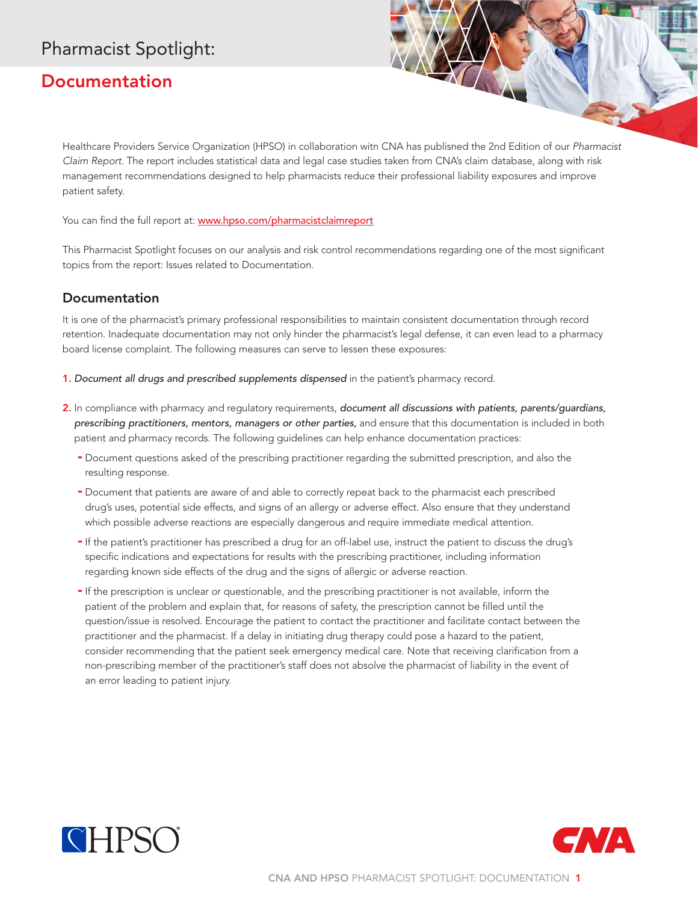## Pharmacist Spotlight:

## **Documentation**

Healthcare Providers Service Organization (HPSO) in collaboration with CNA has published the 2nd Edition of our *Pharmacist Claim Report*. The report includes statistical data and legal case studies taken from CNA's claim database, along with risk management recommendations designed to help pharmacists reduce their professional liability exposures and improve patient safety.

You can find the full report at: www.hpso.com/pharmacistclaimreport

This Pharmacist Spotlight focuses on our analysis and risk control recommendations regarding one of the most significant topics from the report: Issues related to Documentation.

## Documentation

It is one of the pharmacist's primary professional responsibilities to maintain consistent documentation through record retention. Inadequate documentation may not only hinder the pharmacist's legal defense, it can even lead to a pharmacy board license complaint. The following measures can serve to lessen these exposures:

- 1. Document all drugs and prescribed supplements dispensed in the patient's pharmacy record.
- 2. In compliance with pharmacy and regulatory requirements, *document all discussions with patients, parents/guardians, prescribing practitioners, mentors, managers or other parties,* and ensure that this documentation is included in both patient and pharmacy records. The following guidelines can help enhance documentation practices:
	- Document questions asked of the prescribing practitioner regarding the submitted prescription, and also the resulting response.
	- Document that patients are aware of and able to correctly repeat back to the pharmacist each prescribed drug's uses, potential side effects, and signs of an allergy or adverse effect. Also ensure that they understand which possible adverse reactions are especially dangerous and require immediate medical attention.
	- If the patient's practitioner has prescribed a drug for an off-label use, instruct the patient to discuss the drug's specific indications and expectations for results with the prescribing practitioner, including information regarding known side effects of the drug and the signs of allergic or adverse reaction.
	- If the prescription is unclear or questionable, and the prescribing practitioner is not available, inform the patient of the problem and explain that, for reasons of safety, the prescription cannot be filled until the question/issue is resolved. Encourage the patient to contact the practitioner and facilitate contact between the practitioner and the pharmacist. If a delay in initiating drug therapy could pose a hazard to the patient, consider recommending that the patient seek emergency medical care. Note that receiving clarification from a non-prescribing member of the practitioner's staff does not absolve the pharmacist of liability in the event of an error leading to patient injury.



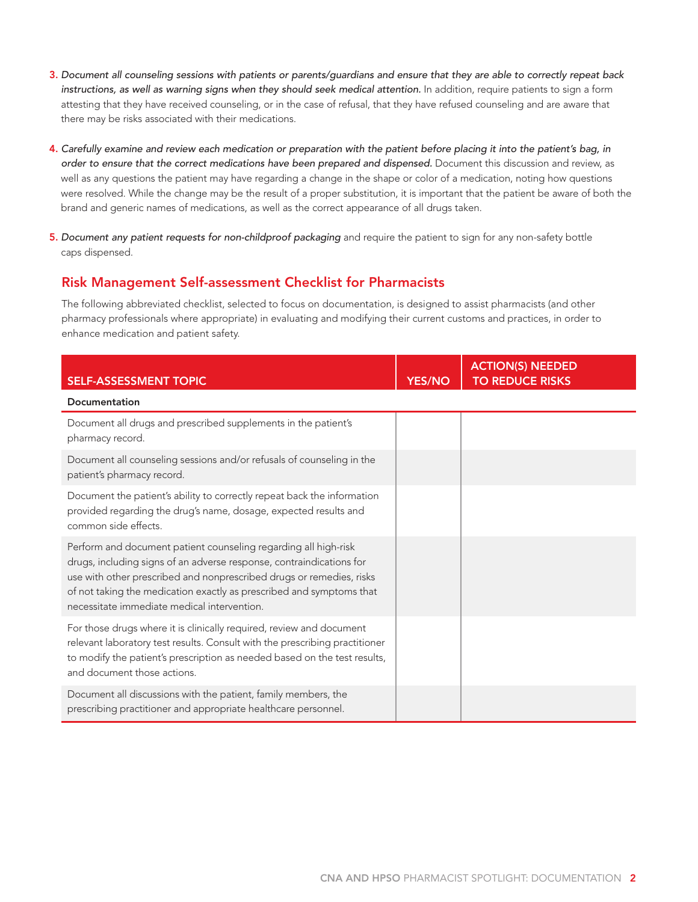- 3. *Document all counseling sessions with patients or parents/guardians and ensure that they are able to correctly repeat back instructions, as well as warning signs when they should seek medical attention.* In addition, require patients to sign a form attesting that they have received counseling, or in the case of refusal, that they have refused counseling and are aware that there may be risks associated with their medications.
- 4. *Carefully examine and review each medication or preparation with the patient before placing it into the patient's bag, in order to ensure that the correct medications have been prepared and dispensed.* Document this discussion and review, as well as any questions the patient may have regarding a change in the shape or color of a medication, noting how questions were resolved. While the change may be the result of a proper substitution, it is important that the patient be aware of both the brand and generic names of medications, as well as the correct appearance of all drugs taken.
- 5. Document any patient requests for non-childproof packaging and require the patient to sign for any non-safety bottle caps dispensed.

## Risk Management Self-assessment Checklist for Pharmacists

The following abbreviated checklist, selected to focus on documentation, is designed to assist pharmacists (and other pharmacy professionals where appropriate) in evaluating and modifying their current customs and practices, in order to enhance medication and patient safety.

| <b>SELF-ASSESSMENT TOPIC</b>                                                                                                                                                                                                                                                                                                           | <b>YES/NO</b> | <b>ACTION(S) NEEDED</b><br><b>TO REDUCE RISKS</b> |
|----------------------------------------------------------------------------------------------------------------------------------------------------------------------------------------------------------------------------------------------------------------------------------------------------------------------------------------|---------------|---------------------------------------------------|
| <b>Documentation</b>                                                                                                                                                                                                                                                                                                                   |               |                                                   |
| Document all drugs and prescribed supplements in the patient's<br>pharmacy record.                                                                                                                                                                                                                                                     |               |                                                   |
| Document all counseling sessions and/or refusals of counseling in the<br>patient's pharmacy record.                                                                                                                                                                                                                                    |               |                                                   |
| Document the patient's ability to correctly repeat back the information<br>provided regarding the drug's name, dosage, expected results and<br>common side effects.                                                                                                                                                                    |               |                                                   |
| Perform and document patient counseling regarding all high-risk<br>drugs, including signs of an adverse response, contraindications for<br>use with other prescribed and nonprescribed drugs or remedies, risks<br>of not taking the medication exactly as prescribed and symptoms that<br>necessitate immediate medical intervention. |               |                                                   |
| For those drugs where it is clinically required, review and document<br>relevant laboratory test results. Consult with the prescribing practitioner<br>to modify the patient's prescription as needed based on the test results,<br>and document those actions.                                                                        |               |                                                   |
| Document all discussions with the patient, family members, the<br>prescribing practitioner and appropriate healthcare personnel.                                                                                                                                                                                                       |               |                                                   |